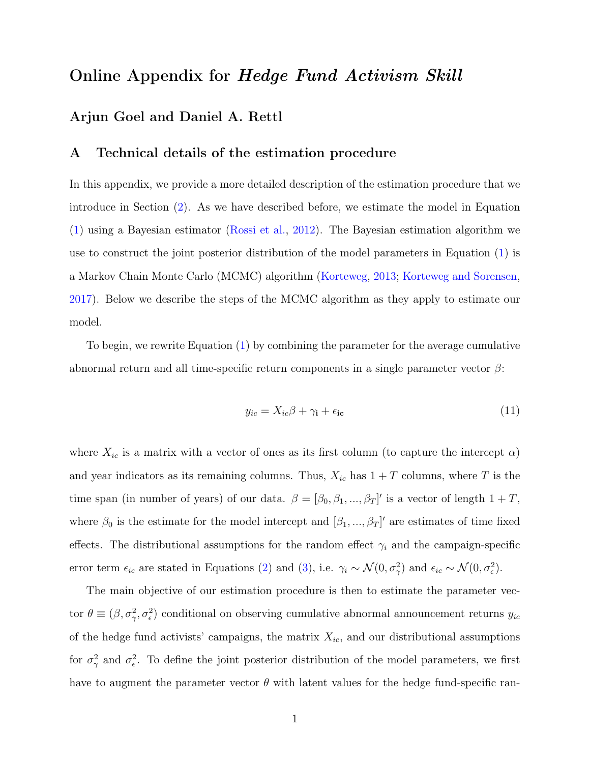# Online Appendix for Hedge Fund Activism Skill

# Arjun Goel and Daniel A. Rettl

## A Technical details of the estimation procedure

In this appendix, we provide a more detailed description of the estimation procedure that we introduce in Section [\(2\)](#page--1-0). As we have described before, we estimate the model in Equation [\(1\)](#page--1-1) using a Bayesian estimator [\(Rossi et al.,](#page--1-2) [2012\)](#page--1-2). The Bayesian estimation algorithm we use to construct the joint posterior distribution of the model parameters in Equation [\(1\)](#page--1-1) is a Markov Chain Monte Carlo (MCMC) algorithm [\(Korteweg,](#page--1-3) [2013;](#page--1-3) [Korteweg and Sorensen,](#page--1-4) [2017\)](#page--1-4). Below we describe the steps of the MCMC algorithm as they apply to estimate our model.

To begin, we rewrite Equation [\(1\)](#page--1-1) by combining the parameter for the average cumulative abnormal return and all time-specific return components in a single parameter vector  $\beta$ :

$$
y_{ic} = X_{ic}\beta + \gamma_i + \epsilon_{ic} \tag{11}
$$

where  $X_{ic}$  is a matrix with a vector of ones as its first column (to capture the intercept  $\alpha$ ) and year indicators as its remaining columns. Thus,  $X_{ic}$  has  $1+T$  columns, where T is the time span (in number of years) of our data.  $\beta = [\beta_0, \beta_1, ..., \beta_T]'$  is a vector of length  $1 + T$ , where  $\beta_0$  is the estimate for the model intercept and  $[\beta_1, ..., \beta_T]'$  are estimates of time fixed effects. The distributional assumptions for the random effect  $\gamma_i$  and the campaign-specific error term  $\epsilon_{ic}$  are stated in Equations [\(2\)](#page--1-5) and [\(3\)](#page--1-6), i.e.  $\gamma_i \sim \mathcal{N}(0, \sigma_\gamma^2)$  and  $\epsilon_{ic} \sim \mathcal{N}(0, \sigma_\epsilon^2)$ .

The main objective of our estimation procedure is then to estimate the parameter vector  $\theta \equiv (\beta, \sigma_\gamma^2, \sigma_\epsilon^2)$  conditional on observing cumulative abnormal announcement returns  $y_{ic}$ of the hedge fund activists' campaigns, the matrix  $X_{ic}$ , and our distributional assumptions for  $\sigma_{\gamma}^2$  and  $\sigma_{\epsilon}^2$ . To define the joint posterior distribution of the model parameters, we first have to augment the parameter vector  $\theta$  with latent values for the hedge fund-specific ran-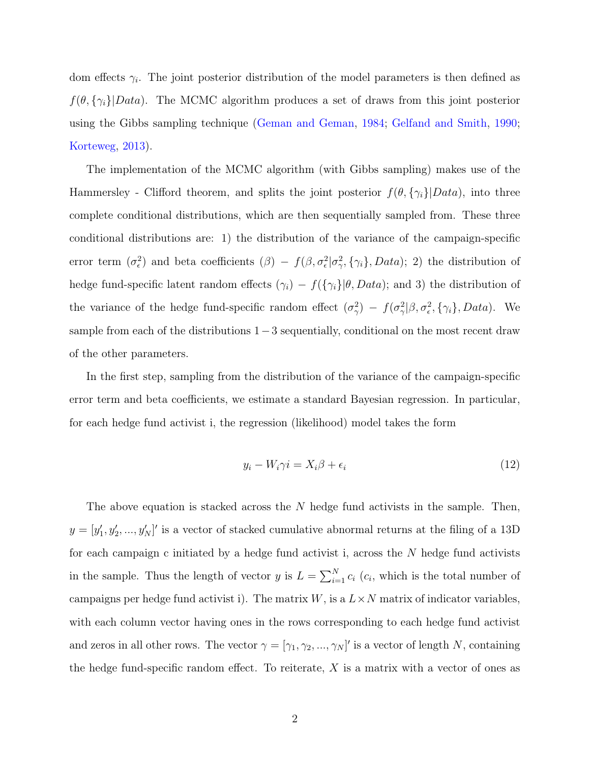dom effects  $\gamma_i$ . The joint posterior distribution of the model parameters is then defined as  $f(\theta, {\gamma_i}|Data)$ . The MCMC algorithm produces a set of draws from this joint posterior using the Gibbs sampling technique [\(Geman and Geman,](#page--1-7) [1984;](#page--1-7) [Gelfand and Smith,](#page--1-8) [1990;](#page--1-8) [Korteweg,](#page--1-3) [2013\)](#page--1-3).

The implementation of the MCMC algorithm (with Gibbs sampling) makes use of the Hammersley - Clifford theorem, and splits the joint posterior  $f(\theta, \{\gamma_i\}|Data)$ , into three complete conditional distributions, which are then sequentially sampled from. These three conditional distributions are: 1) the distribution of the variance of the campaign-specific error term  $(\sigma_{\epsilon}^2)$  and beta coefficients  $(\beta) - f(\beta, \sigma_{\epsilon}^2 | \sigma_{\gamma}^2, {\gamma_i}, Data);$  2) the distribution of hedge fund-specific latent random effects  $(\gamma_i) - f(\{\gamma_i\}|\theta, Data)$ ; and 3) the distribution of the variance of the hedge fund-specific random effect  $(\sigma_\gamma^2) - f(\sigma_\gamma^2|\beta, \sigma_\epsilon^2, {\gamma_i}, Data)$ . We sample from each of the distributions 1–3 sequentially, conditional on the most recent draw of the other parameters.

In the first step, sampling from the distribution of the variance of the campaign-specific error term and beta coefficients, we estimate a standard Bayesian regression. In particular, for each hedge fund activist i, the regression (likelihood) model takes the form

$$
y_i - W_i \gamma i = X_i \beta + \epsilon_i \tag{12}
$$

The above equation is stacked across the  $N$  hedge fund activists in the sample. Then,  $y = [y'_1, y'_2, ..., y'_N]'$  is a vector of stacked cumulative abnormal returns at the filing of a 13D for each campaign c initiated by a hedge fund activist i, across the  $N$  hedge fund activists in the sample. Thus the length of vector y is  $L = \sum_{i=1}^{N} c_i$  ( $c_i$ , which is the total number of campaigns per hedge fund activist i). The matrix  $W$ , is a  $L \times N$  matrix of indicator variables, with each column vector having ones in the rows corresponding to each hedge fund activist and zeros in all other rows. The vector  $\gamma = [\gamma_1, \gamma_2, ..., \gamma_N]'$  is a vector of length N, containing the hedge fund-specific random effect. To reiterate,  $X$  is a matrix with a vector of ones as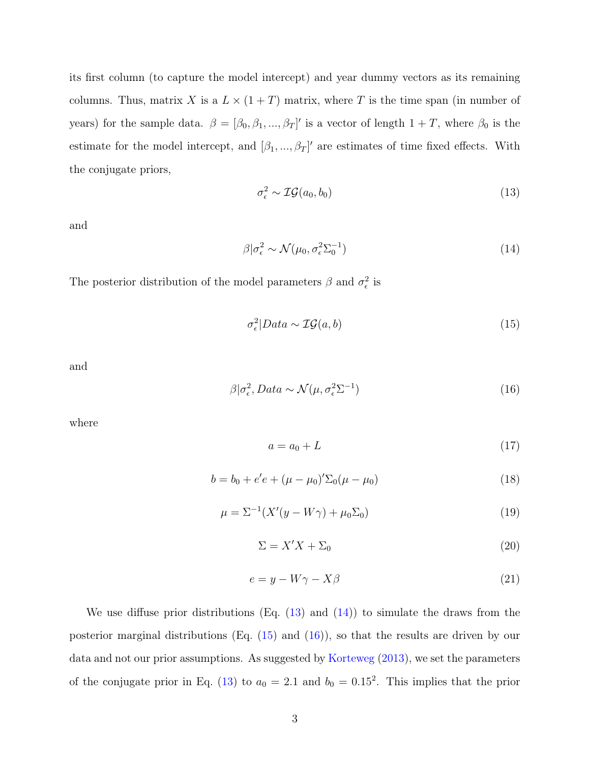its first column (to capture the model intercept) and year dummy vectors as its remaining columns. Thus, matrix X is a  $L \times (1+T)$  matrix, where T is the time span (in number of years) for the sample data.  $\beta = [\beta_0, \beta_1, ..., \beta_T]'$  is a vector of length  $1 + T$ , where  $\beta_0$  is the estimate for the model intercept, and  $[\beta_1, ..., \beta_T]'$  are estimates of time fixed effects. With the conjugate priors,

<span id="page-2-0"></span>
$$
\sigma_{\epsilon}^2 \sim \mathcal{IG}(a_0, b_0) \tag{13}
$$

and

<span id="page-2-1"></span>
$$
\beta|\sigma_{\epsilon}^2 \sim \mathcal{N}(\mu_0, \sigma_{\epsilon}^2 \Sigma_0^{-1})
$$
\n(14)

The posterior distribution of the model parameters  $\beta$  and  $\sigma_{\epsilon}^2$  is

<span id="page-2-2"></span>
$$
\sigma_{\epsilon}^2|Data \sim \mathcal{IG}(a, b) \tag{15}
$$

and

<span id="page-2-3"></span>
$$
\beta|\sigma_{\epsilon}^2, Data \sim \mathcal{N}(\mu, \sigma_{\epsilon}^2 \Sigma^{-1})
$$
\n(16)

where

$$
a = a_0 + L \tag{17}
$$

$$
b = b_0 + e'e + (\mu - \mu_0)' \Sigma_0 (\mu - \mu_0)
$$
\n(18)

$$
\mu = \Sigma^{-1} (X'(y - W\gamma) + \mu_0 \Sigma_0)
$$
\n(19)

 $\Sigma = X'X + \Sigma_0$  (20)

$$
e = y - W\gamma - X\beta \tag{21}
$$

We use diffuse prior distributions (Eq.  $(13)$  and  $(14)$ ) to simulate the draws from the posterior marginal distributions (Eq. [\(15\)](#page-2-2) and [\(16\)](#page-2-3)), so that the results are driven by our data and not our prior assumptions. As suggested by [Korteweg](#page--1-3) [\(2013\)](#page--1-3), we set the parameters of the conjugate prior in Eq. [\(13\)](#page-2-0) to  $a_0 = 2.1$  and  $b_0 = 0.15^2$ . This implies that the prior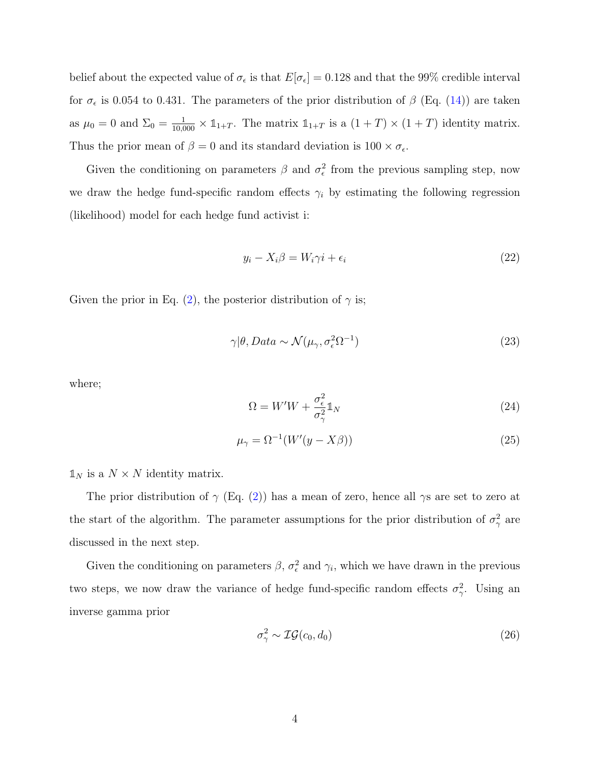belief about the expected value of  $\sigma_{\epsilon}$  is that  $E[\sigma_{\epsilon}] = 0.128$  and that the 99% credible interval for  $\sigma_{\epsilon}$  is 0.054 to 0.431. The parameters of the prior distribution of  $\beta$  (Eq. [\(14\)](#page-2-1)) are taken as  $\mu_0 = 0$  and  $\Sigma_0 = \frac{1}{10,000} \times \mathbb{1}_{1+T}$ . The matrix  $\mathbb{1}_{1+T}$  is a  $(1+T) \times (1+T)$  identity matrix. Thus the prior mean of  $\beta = 0$  and its standard deviation is  $100 \times \sigma_{\epsilon}$ .

Given the conditioning on parameters  $\beta$  and  $\sigma_{\epsilon}^2$  from the previous sampling step, now we draw the hedge fund-specific random effects  $\gamma_i$  by estimating the following regression (likelihood) model for each hedge fund activist i:

$$
y_i - X_i \beta = W_i \gamma i + \epsilon_i \tag{22}
$$

Given the prior in Eq. [\(2\)](#page--1-5), the posterior distribution of  $\gamma$  is;

$$
\gamma|\theta, Data \sim \mathcal{N}(\mu_{\gamma}, \sigma_{\epsilon}^2 \Omega^{-1})
$$
\n(23)

where;

$$
\Omega = W'W + \frac{\sigma_{\epsilon}^2}{\sigma_{\gamma}^2} \mathbb{1}_N \tag{24}
$$

$$
\mu_{\gamma} = \Omega^{-1}(W'(y - X\beta))\tag{25}
$$

 $\mathbb{1}_N$  is a  $N \times N$  identity matrix.

The prior distribution of  $\gamma$  (Eq. [\(2\)](#page--1-5)) has a mean of zero, hence all  $\gamma s$  are set to zero at the start of the algorithm. The parameter assumptions for the prior distribution of  $\sigma_{\gamma}^2$  are discussed in the next step.

Given the conditioning on parameters  $\beta$ ,  $\sigma_{\epsilon}^2$  and  $\gamma_i$ , which we have drawn in the previous two steps, we now draw the variance of hedge fund-specific random effects  $\sigma_{\gamma}^2$ . Using an inverse gamma prior

<span id="page-3-0"></span>
$$
\sigma_{\gamma}^2 \sim \mathcal{IG}(c_0, d_0) \tag{26}
$$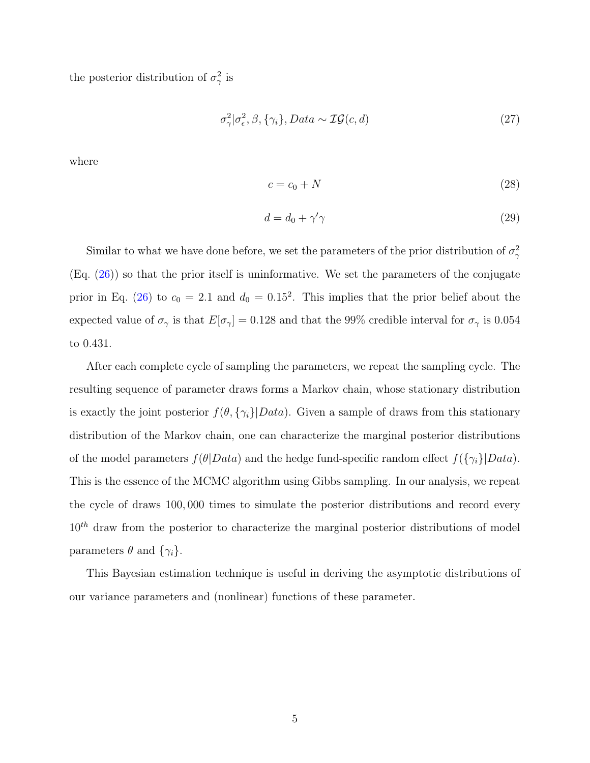the posterior distribution of  $\sigma_{\gamma}^2$  is

$$
\sigma_{\gamma}^{2}|\sigma_{\epsilon}^{2},\beta,\{\gamma_{i}\},Data \sim \mathcal{IG}(c,d)
$$
\n(27)

where

$$
c = c_0 + N \tag{28}
$$

$$
d = d_0 + \gamma' \gamma \tag{29}
$$

Similar to what we have done before, we set the parameters of the prior distribution of  $\sigma_{\gamma}^2$  $(Eq. (26))$  $(Eq. (26))$  $(Eq. (26))$  so that the prior itself is uninformative. We set the parameters of the conjugate prior in Eq. [\(26\)](#page-3-0) to  $c_0 = 2.1$  and  $d_0 = 0.15^2$ . This implies that the prior belief about the expected value of  $\sigma_{\gamma}$  is that  $E[\sigma_{\gamma}] = 0.128$  and that the 99% credible interval for  $\sigma_{\gamma}$  is 0.054 to 0.431.

After each complete cycle of sampling the parameters, we repeat the sampling cycle. The resulting sequence of parameter draws forms a Markov chain, whose stationary distribution is exactly the joint posterior  $f(\theta, \{\gamma_i\}|Data)$ . Given a sample of draws from this stationary distribution of the Markov chain, one can characterize the marginal posterior distributions of the model parameters  $f(\theta|Data)$  and the hedge fund-specific random effect  $f(\{\gamma_i\}|Data)$ . This is the essence of the MCMC algorithm using Gibbs sampling. In our analysis, we repeat the cycle of draws 100, 000 times to simulate the posterior distributions and record every  $10<sup>th</sup>$  draw from the posterior to characterize the marginal posterior distributions of model parameters  $\theta$  and  $\{\gamma_i\}$ .

This Bayesian estimation technique is useful in deriving the asymptotic distributions of our variance parameters and (nonlinear) functions of these parameter.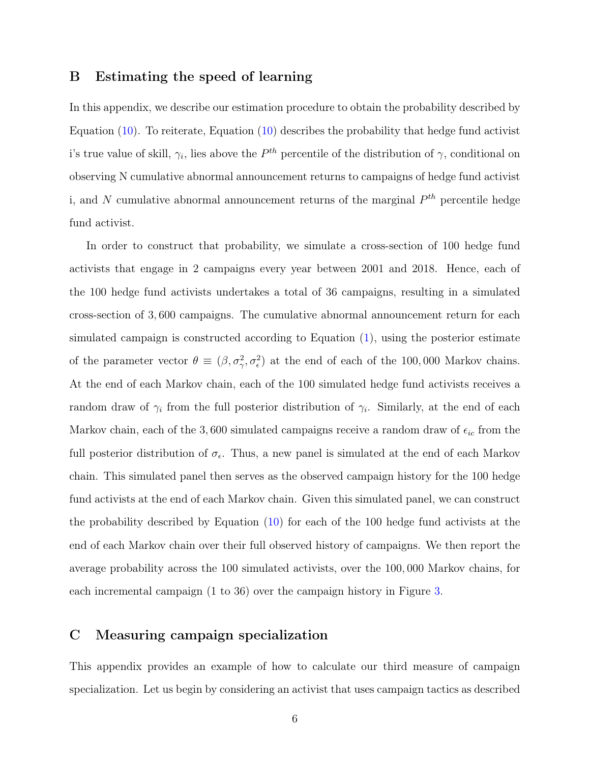#### B Estimating the speed of learning

In this appendix, we describe our estimation procedure to obtain the probability described by Equation  $(10)$ . To reiterate, Equation  $(10)$  describes the probability that hedge fund activist i's true value of skill,  $\gamma_i$ , lies above the  $P^{th}$  percentile of the distribution of  $\gamma$ , conditional on observing N cumulative abnormal announcement returns to campaigns of hedge fund activist i, and N cumulative abnormal announcement returns of the marginal  $P^{th}$  percentile hedge fund activist.

In order to construct that probability, we simulate a cross-section of 100 hedge fund activists that engage in 2 campaigns every year between 2001 and 2018. Hence, each of the 100 hedge fund activists undertakes a total of 36 campaigns, resulting in a simulated cross-section of 3, 600 campaigns. The cumulative abnormal announcement return for each simulated campaign is constructed according to Equation [\(1\)](#page--1-1), using the posterior estimate of the parameter vector  $\theta \equiv (\beta, \sigma_{\gamma}^2, \sigma_{\epsilon}^2)$  at the end of each of the 100,000 Markov chains. At the end of each Markov chain, each of the 100 simulated hedge fund activists receives a random draw of  $\gamma_i$  from the full posterior distribution of  $\gamma_i$ . Similarly, at the end of each Markov chain, each of the 3,600 simulated campaigns receive a random draw of  $\epsilon_{ic}$  from the full posterior distribution of  $\sigma_{\epsilon}$ . Thus, a new panel is simulated at the end of each Markov chain. This simulated panel then serves as the observed campaign history for the 100 hedge fund activists at the end of each Markov chain. Given this simulated panel, we can construct the probability described by Equation [\(10\)](#page--1-9) for each of the 100 hedge fund activists at the end of each Markov chain over their full observed history of campaigns. We then report the average probability across the 100 simulated activists, over the 100, 000 Markov chains, for each incremental campaign (1 to 36) over the campaign history in Figure [3.](#page--1-10)

### C Measuring campaign specialization

This appendix provides an example of how to calculate our third measure of campaign specialization. Let us begin by considering an activist that uses campaign tactics as described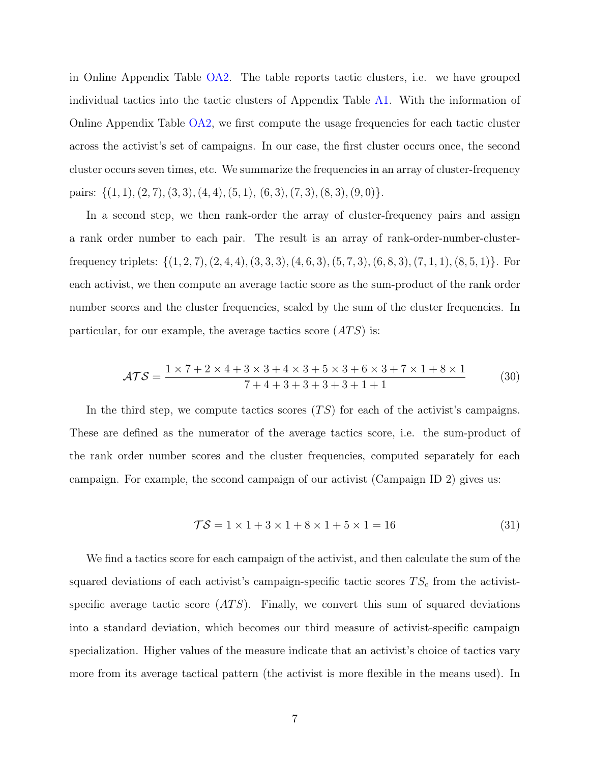in Online Appendix Table [OA2.](#page-13-0) The table reports tactic clusters, i.e. we have grouped individual tactics into the tactic clusters of Appendix Table [A1.](#page--1-11) With the information of Online Appendix Table [OA2,](#page-13-0) we first compute the usage frequencies for each tactic cluster across the activist's set of campaigns. In our case, the first cluster occurs once, the second cluster occurs seven times, etc. We summarize the frequencies in an array of cluster-frequency pairs:  $\{(1, 1), (2, 7), (3, 3), (4, 4), (5, 1), (6, 3), (7, 3), (8, 3), (9, 0)\}.$ 

In a second step, we then rank-order the array of cluster-frequency pairs and assign a rank order number to each pair. The result is an array of rank-order-number-clusterfrequency triplets:  $\{(1, 2, 7), (2, 4, 4), (3, 3, 3), (4, 6, 3), (5, 7, 3), (6, 8, 3), (7, 1, 1), (8, 5, 1)\}.$  For each activist, we then compute an average tactic score as the sum-product of the rank order number scores and the cluster frequencies, scaled by the sum of the cluster frequencies. In particular, for our example, the average tactics score  $(ATS)$  is:

$$
\mathcal{ATS} = \frac{1 \times 7 + 2 \times 4 + 3 \times 3 + 4 \times 3 + 5 \times 3 + 6 \times 3 + 7 \times 1 + 8 \times 1}{7 + 4 + 3 + 3 + 3 + 3 + 1 + 1} \tag{30}
$$

In the third step, we compute tactics scores  $(TS)$  for each of the activist's campaigns. These are defined as the numerator of the average tactics score, i.e. the sum-product of the rank order number scores and the cluster frequencies, computed separately for each campaign. For example, the second campaign of our activist (Campaign ID 2) gives us:

$$
\mathcal{TS} = 1 \times 1 + 3 \times 1 + 8 \times 1 + 5 \times 1 = 16 \tag{31}
$$

We find a tactics score for each campaign of the activist, and then calculate the sum of the squared deviations of each activist's campaign-specific tactic scores  $TS_c$  from the activistspecific average tactic score  $(ATS)$ . Finally, we convert this sum of squared deviations into a standard deviation, which becomes our third measure of activist-specific campaign specialization. Higher values of the measure indicate that an activist's choice of tactics vary more from its average tactical pattern (the activist is more flexible in the means used). In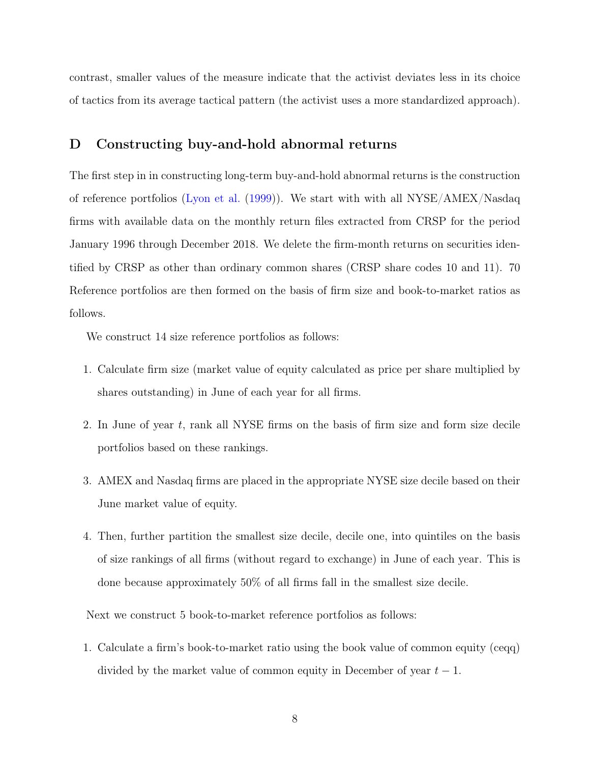contrast, smaller values of the measure indicate that the activist deviates less in its choice of tactics from its average tactical pattern (the activist uses a more standardized approach).

## D Constructing buy-and-hold abnormal returns

The first step in in constructing long-term buy-and-hold abnormal returns is the construction of reference portfolios [\(Lyon et al.](#page--1-12) [\(1999\)](#page--1-12)). We start with with all NYSE/AMEX/Nasdaq firms with available data on the monthly return files extracted from CRSP for the period January 1996 through December 2018. We delete the firm-month returns on securities identified by CRSP as other than ordinary common shares (CRSP share codes 10 and 11). 70 Reference portfolios are then formed on the basis of firm size and book-to-market ratios as follows.

We construct 14 size reference portfolios as follows:

- 1. Calculate firm size (market value of equity calculated as price per share multiplied by shares outstanding) in June of each year for all firms.
- 2. In June of year t, rank all NYSE firms on the basis of firm size and form size decile portfolios based on these rankings.
- 3. AMEX and Nasdaq firms are placed in the appropriate NYSE size decile based on their June market value of equity.
- 4. Then, further partition the smallest size decile, decile one, into quintiles on the basis of size rankings of all firms (without regard to exchange) in June of each year. This is done because approximately 50% of all firms fall in the smallest size decile.

Next we construct 5 book-to-market reference portfolios as follows:

1. Calculate a firm's book-to-market ratio using the book value of common equity (ceqq) divided by the market value of common equity in December of year  $t - 1$ .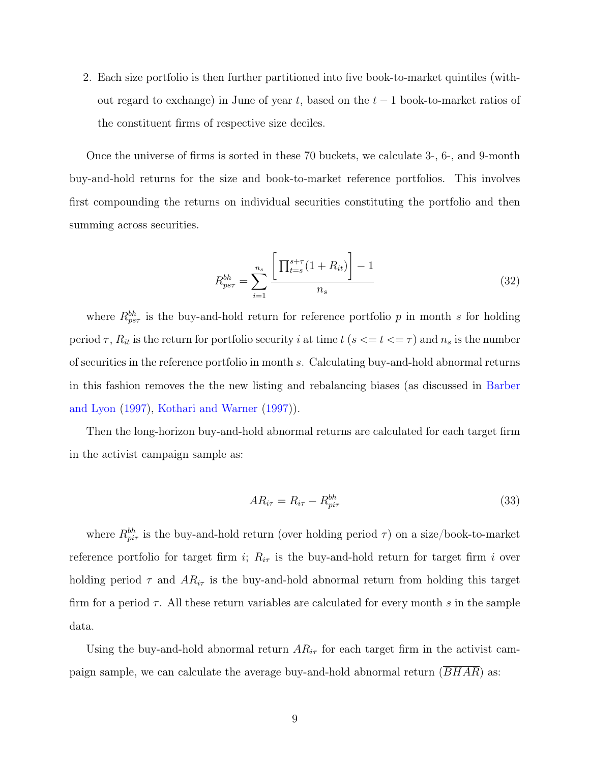2. Each size portfolio is then further partitioned into five book-to-market quintiles (without regard to exchange) in June of year t, based on the  $t-1$  book-to-market ratios of the constituent firms of respective size deciles.

Once the universe of firms is sorted in these 70 buckets, we calculate 3-, 6-, and 9-month buy-and-hold returns for the size and book-to-market reference portfolios. This involves first compounding the returns on individual securities constituting the portfolio and then summing across securities.

$$
R_{ps\tau}^{bh} = \sum_{i=1}^{n_s} \frac{\left[ \prod_{t=s}^{s+\tau} (1 + R_{it}) \right] - 1}{n_s} \tag{32}
$$

where  $R_{ps\tau}^{bh}$  is the buy-and-hold return for reference portfolio p in month s for holding period  $\tau$ ,  $R_{it}$  is the return for portfolio security i at time  $t$  ( $s \le t \le \tau$ ) and  $n_s$  is the number of securities in the reference portfolio in month s. Calculating buy-and-hold abnormal returns in this fashion removes the the new listing and rebalancing biases (as discussed in [Barber](#page--1-13) [and Lyon](#page--1-13) [\(1997\)](#page--1-13), [Kothari and Warner](#page--1-14) [\(1997\)](#page--1-14)).

Then the long-horizon buy-and-hold abnormal returns are calculated for each target firm in the activist campaign sample as:

$$
AR_{i\tau} = R_{i\tau} - R_{pi\tau}^{bh} \tag{33}
$$

where  $R^{bh}_{pir}$  is the buy-and-hold return (over holding period  $\tau$ ) on a size/book-to-market reference portfolio for target firm i;  $R_{i\tau}$  is the buy-and-hold return for target firm i over holding period  $\tau$  and  $AR_{i\tau}$  is the buy-and-hold abnormal return from holding this target firm for a period  $\tau$ . All these return variables are calculated for every month s in the sample data.

Using the buy-and-hold abnormal return  $AR_{i\tau}$  for each target firm in the activist campaign sample, we can calculate the average buy-and-hold abnormal return  $(BHAR)$  as: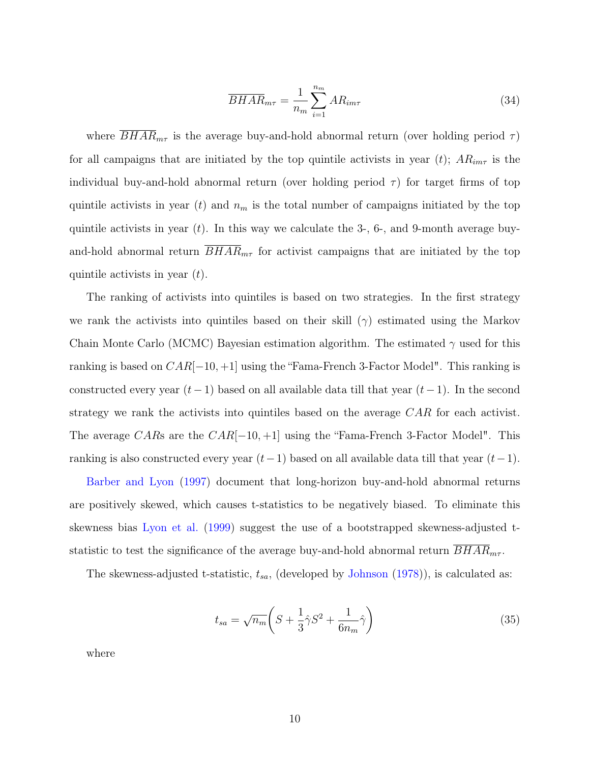$$
\overline{BHAR}_{m\tau} = \frac{1}{n_m} \sum_{i=1}^{n_m} AR_{im\tau}
$$
\n(34)

where  $BHAR_{m\tau}$  is the average buy-and-hold abnormal return (over holding period  $\tau$ ) for all campaigns that are initiated by the top quintile activists in year (t);  $AR_{im\tau}$  is the individual buy-and-hold abnormal return (over holding period  $\tau$ ) for target firms of top quintile activists in year (t) and  $n_m$  is the total number of campaigns initiated by the top quintile activists in year  $(t)$ . In this way we calculate the 3-, 6-, and 9-month average buyand-hold abnormal return  $B H A R_{m\tau}$  for activist campaigns that are initiated by the top quintile activists in year  $(t)$ .

The ranking of activists into quintiles is based on two strategies. In the first strategy we rank the activists into quintiles based on their skill  $(\gamma)$  estimated using the Markov Chain Monte Carlo (MCMC) Bayesian estimation algorithm. The estimated  $\gamma$  used for this ranking is based on  $CAR[-10, +1]$  using the "Fama-French 3-Factor Model". This ranking is constructed every year  $(t-1)$  based on all available data till that year  $(t-1)$ . In the second strategy we rank the activists into quintiles based on the average CAR for each activist. The average CARs are the  $CAR[-10, +1]$  using the "Fama-French 3-Factor Model". This ranking is also constructed every year  $(t-1)$  based on all available data till that year  $(t-1)$ .

[Barber and Lyon](#page--1-13) [\(1997\)](#page--1-13) document that long-horizon buy-and-hold abnormal returns are positively skewed, which causes t-statistics to be negatively biased. To eliminate this skewness bias [Lyon et al.](#page--1-12) [\(1999\)](#page--1-12) suggest the use of a bootstrapped skewness-adjusted tstatistic to test the significance of the average buy-and-hold abnormal return  $BHAR_{m\tau}$ .

The skewness-adjusted t-statistic,  $t_{sa}$ , (developed by [Johnson](#page--1-15)  $(1978)$ ), is calculated as:

$$
t_{sa} = \sqrt{n_m} \left( S + \frac{1}{3} \hat{\gamma} S^2 + \frac{1}{6n_m} \hat{\gamma} \right) \tag{35}
$$

where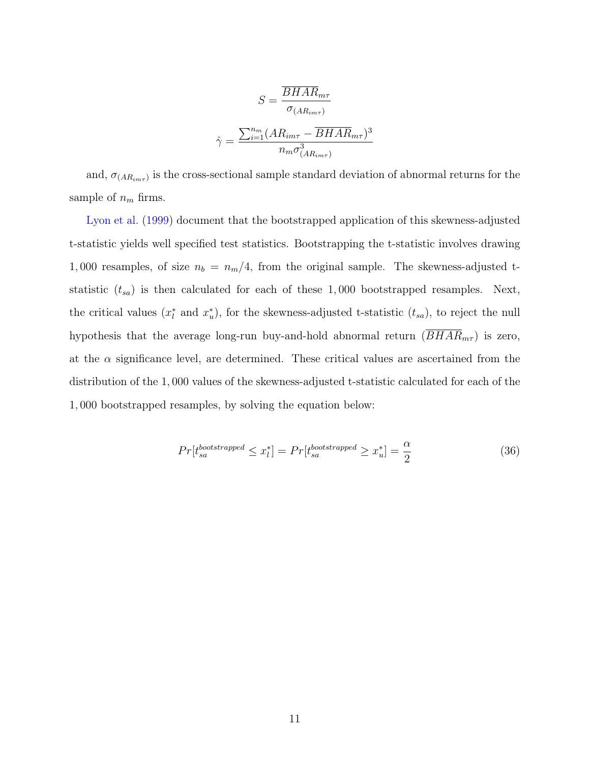$$
S = \frac{\overline{BHAR}_{m\tau}}{\sigma_{(AR_{im\tau})}}
$$

$$
\hat{\gamma} = \frac{\sum_{i=1}^{n_m} (AR_{im\tau} - \overline{BHAR}_{m\tau})^3}{n_m \sigma_{(AR_{im\tau})}^3}
$$

and,  $\sigma_{(AR_{im\tau})}$  is the cross-sectional sample standard deviation of abnormal returns for the sample of  $n_m$  firms.

[Lyon et al.](#page--1-12) [\(1999\)](#page--1-12) document that the bootstrapped application of this skewness-adjusted t-statistic yields well specified test statistics. Bootstrapping the t-statistic involves drawing 1,000 resamples, of size  $n_b = n_m/4$ , from the original sample. The skewness-adjusted tstatistic  $(t_{sa})$  is then calculated for each of these 1,000 bootstrapped resamples. Next, the critical values  $(x_l^*$  and  $x_u^*$ ), for the skewness-adjusted t-statistic  $(t_{sa})$ , to reject the null hypothesis that the average long-run buy-and-hold abnormal return  $(\overline{BHAR}_{m\tau})$  is zero, at the  $\alpha$  significance level, are determined. These critical values are ascertained from the distribution of the 1, 000 values of the skewness-adjusted t-statistic calculated for each of the 1, 000 bootstrapped resamples, by solving the equation below:

$$
Pr[t_{sa}^{bootstrapped} \le x_l^*] = Pr[t_{sa}^{bootstrapped} \ge x_u^*] = \frac{\alpha}{2}
$$
\n(36)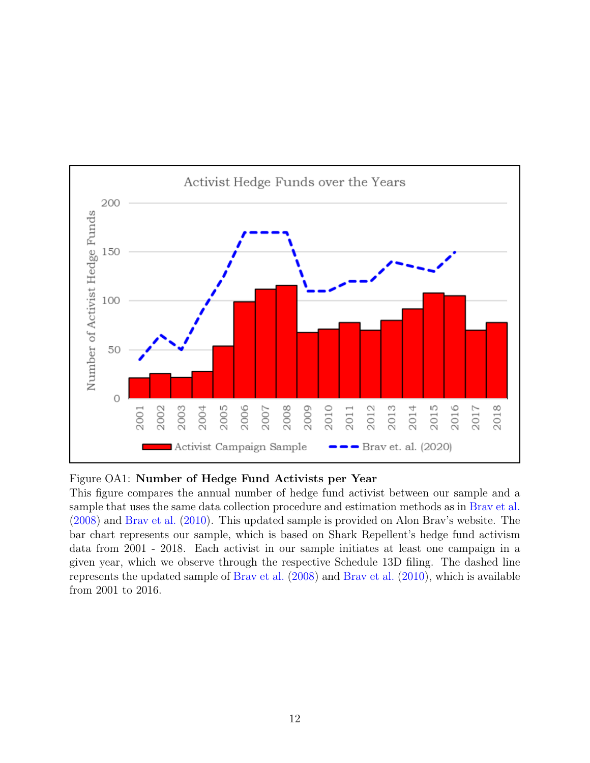

#### Figure OA1: Number of Hedge Fund Activists per Year

This figure compares the annual number of hedge fund activist between our sample and a sample that uses the same data collection procedure and estimation methods as in [Brav et al.](#page--1-16) [\(2008\)](#page--1-16) and [Brav et al.](#page--1-17) [\(2010\)](#page--1-17). This updated sample is provided on Alon Brav's website. The bar chart represents our sample, which is based on Shark Repellent's hedge fund activism data from 2001 - 2018. Each activist in our sample initiates at least one campaign in a given year, which we observe through the respective Schedule 13D filing. The dashed line represents the updated sample of [Brav et al.](#page--1-16) [\(2008\)](#page--1-16) and [Brav et al.](#page--1-17) [\(2010\)](#page--1-17), which is available from 2001 to 2016.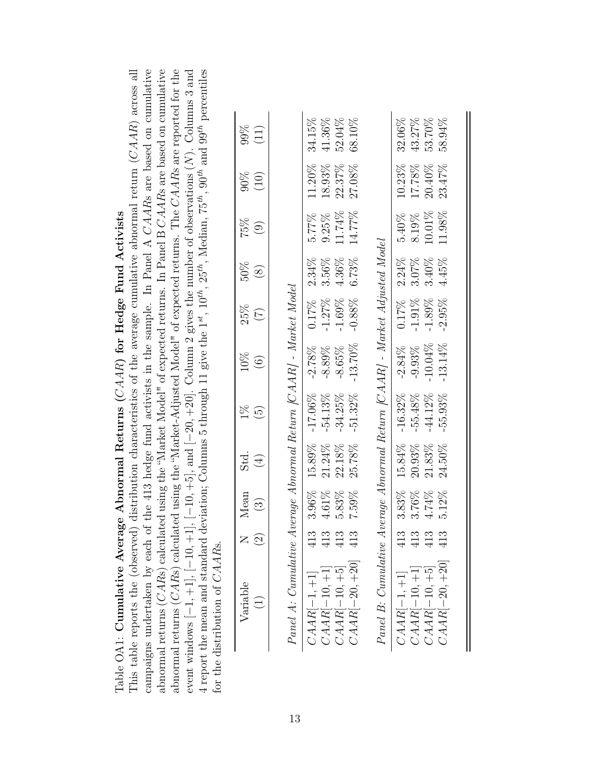|                                                   | ribution characteristics of the average cumulative abnormal return $(CAAR)$ across all | $\pm$ 413 hedge fund activists in the sample. In Panel A CAARs are based on cumulative |  |
|---------------------------------------------------|----------------------------------------------------------------------------------------|----------------------------------------------------------------------------------------|--|
|                                                   |                                                                                        |                                                                                        |  |
|                                                   |                                                                                        |                                                                                        |  |
|                                                   |                                                                                        |                                                                                        |  |
|                                                   |                                                                                        |                                                                                        |  |
|                                                   |                                                                                        |                                                                                        |  |
|                                                   |                                                                                        |                                                                                        |  |
|                                                   |                                                                                        |                                                                                        |  |
|                                                   |                                                                                        |                                                                                        |  |
| bnormal Returns $(CAAR)$ for Hedge Fund Activists |                                                                                        |                                                                                        |  |
|                                                   |                                                                                        |                                                                                        |  |
|                                                   |                                                                                        |                                                                                        |  |
|                                                   |                                                                                        |                                                                                        |  |
|                                                   |                                                                                        |                                                                                        |  |
|                                                   |                                                                                        |                                                                                        |  |
|                                                   |                                                                                        |                                                                                        |  |
|                                                   |                                                                                        |                                                                                        |  |
|                                                   |                                                                                        |                                                                                        |  |
|                                                   |                                                                                        |                                                                                        |  |
|                                                   |                                                                                        |                                                                                        |  |
|                                                   |                                                                                        |                                                                                        |  |
|                                                   |                                                                                        |                                                                                        |  |
|                                                   |                                                                                        |                                                                                        |  |
|                                                   |                                                                                        |                                                                                        |  |
| Table OA1: Cumulative Average A                   | This table reports the (observed) dist:                                                | campaigns undertaken by each of the                                                    |  |
|                                                   |                                                                                        |                                                                                        |  |

| This table reports the (observed) distribution characteristics of the average cumulative abnormal return $(CAAR)$ across all | campaigns undertaken by each of the 413 hedge fund activists in the sample. In Panel A $CAARs$ are based on cumulative | abnormal returns ( $CARS$ ) calculated using the "Market Model" of expected returns. In Panel B $CAARs$ are based on cumulative | abnormal returns ( $CARS$ ) calculated using the "Market-Adjusted Model" of expected returns. The $CAARs$ are reported for the | event windows $[-1, +1]$ , $[-10, +5]$ , and $[-20, +20]$ . Column 2 gives the number of observations $(N)$ . Columns 3 and | 4 report the mean and standard deviation; Columns 5 through 11 give the $1^{st}$ , $10^{th}$ , $25^{th}$ , Median, $75^{th}$ , $90^{th}$ and $99^{th}$ percentiles | for the distribution of $CAARs$ . |  |
|------------------------------------------------------------------------------------------------------------------------------|------------------------------------------------------------------------------------------------------------------------|---------------------------------------------------------------------------------------------------------------------------------|--------------------------------------------------------------------------------------------------------------------------------|-----------------------------------------------------------------------------------------------------------------------------|--------------------------------------------------------------------------------------------------------------------------------------------------------------------|-----------------------------------|--|
|                                                                                                                              |                                                                                                                        |                                                                                                                                 |                                                                                                                                |                                                                                                                             |                                                                                                                                                                    |                                   |  |

| ;<br>>td<br>$\mathfrak{D}$<br>Tear<br>$\widehat{\mathfrak{D}}$<br>$\mathbf{\mathcal{L}}$<br>l | 25%<br>$10\%$<br>$1\%$ | (10)<br>$75\%$<br>(9)<br>$50\%$ (8)<br>$\widetilde{C}$<br>$\odot$<br>Σ,<br>$\sum_{i=1}^{n}$ |  |
|-----------------------------------------------------------------------------------------------|------------------------|---------------------------------------------------------------------------------------------|--|
|                                                                                               |                        |                                                                                             |  |
|                                                                                               |                        |                                                                                             |  |
|                                                                                               |                        |                                                                                             |  |
|                                                                                               |                        |                                                                                             |  |
|                                                                                               |                        |                                                                                             |  |
|                                                                                               |                        |                                                                                             |  |
|                                                                                               |                        |                                                                                             |  |

 $L_{\alpha}L_{\alpha}M_{\alpha}J_{\alpha}I$ Panel A: Cumulative Average Abnormal Return [CAAR] - Market Model  $\overline{M}_{\alpha}$  $M$   $(0,0)$  $\overline{J}$   $D_{\alpha}t_{\alpha}$  $\overline{1}$  $\ddot{\phantom{0}}$ Ń  $\zeta$  $\overline{a}$  $\mathbf{r}$ 

| Fanel A: Uumulatuve Average Abnormal Keturn  U'AAK  - Market Model         |     |          |                |            |            |           |          |           |           |           |
|----------------------------------------------------------------------------|-----|----------|----------------|------------|------------|-----------|----------|-----------|-----------|-----------|
| $CAAR[-1,+1]$                                                              | 413 | 3.96%    | $15.89\%$      | $-17.06\%$ | $-2.78%$   | $0.17\%$  | $2.34\%$ | 5.77%     | $11.20\%$ | 34.15%    |
|                                                                            |     | $4.61\%$ | 21.24%         | $-54.13%$  | $-8.89%$   | $-1.27%$  | 3.56%    | $9.25\%$  | 18.93%    | 41.36%    |
| $\begin{array}{c} CAAR[-10,+1]\\ CAAR[-10,+5] \end{array}$                 | 413 | 5.83%    | 22.18%         | $-34.25%$  | $-8.65%$   | $-1.69%$  | 4.36%    | 11.74%    | 22.37%    | 52.04%    |
| $CAAR[-20,+20]$                                                            |     | 7.59%    | 25.78%         | $-51.32\%$ | $-13.70\%$ | $-0.88%$  | 6.73%    | 14.77%    | 27.08%    | 68.10%    |
| Panel B: Cumulative Average Abnormal Return [CAAR] - Market Adjusted Model |     |          |                |            |            |           |          |           |           |           |
| $CAAR[-1,+1]$                                                              | 413 | $3.83\%$ | 15.84% -16.32% |            | $-2.84%$   | $0.17\%$  | 2.24%    | $5.40\%$  | $10.23\%$ | $32.06\%$ |
| $\begin{array}{c} CAAR[-10,+1]\\ CAAR[-10,+5] \end{array}$                 | 413 | 3.76%    | 20.93%         | $-55.48%$  | $-9.93\%$  | $-1.91\%$ | 3.07%    | 8.19%     | 17.78%    | 43.27%    |
|                                                                            | 413 | $4.74\%$ | 21.83%         | $-44.12\%$ | $-10.04\%$ | $-1.89%$  | $3.40\%$ | 10.01%    | $20.40\%$ | 53.70%    |
| $CAAR[-20,+20]$                                                            | 413 | $5.12\%$ | 24.50%         | $-55.93\%$ | $-13.14%$  | $-2.95%$  | $4.45\%$ | $11.98\%$ | 23.47%    | 58.94%    |

| $Panel \, B$ : $Cumulat$ |     |          |           |                          | ve Average Abnormal Keturn [C'AAK] - Market Adjusted Model |                                                                        |                |                    |           |           |
|--------------------------|-----|----------|-----------|--------------------------|------------------------------------------------------------|------------------------------------------------------------------------|----------------|--------------------|-----------|-----------|
| $C A A R[-1, +1]$        | 413 | 3.83%    | 15.84%    | $-16.32\%$               |                                                            |                                                                        | $2.24\%$       | $5.40\%$           | $10.23\%$ | $32.06\%$ |
| $C AAR[-10,+1]$          | 413 | 3.76%    | $20.93\%$ |                          |                                                            |                                                                        |                |                    | 17.78%    | 43.27%    |
| $CAAR[-10,+5]$           | 413 | $4.74\%$ | 21.83%    | $-55.48\%$<br>$-44.12\%$ | $-2.84\%$<br>$-9.93\%$<br>$-1.01\%$<br>$-1.314\%$          | $\begin{array}{c} 0.17\% \\ -1.91\% \\ -1.89\% \\ -2.95\% \end{array}$ | 3.07%<br>3.40% | $8.19\%$<br>10.01% | $20.40\%$ | 53.70%    |
| $CAAR[-20,+20]$          | 413 | 5.12%    | $24.50\%$ | 55.93%                   |                                                            |                                                                        | 4.45%          | 11.98%             | $23.47\%$ | 58.94%    |
|                          |     |          |           |                          |                                                            |                                                                        |                |                    |           |           |